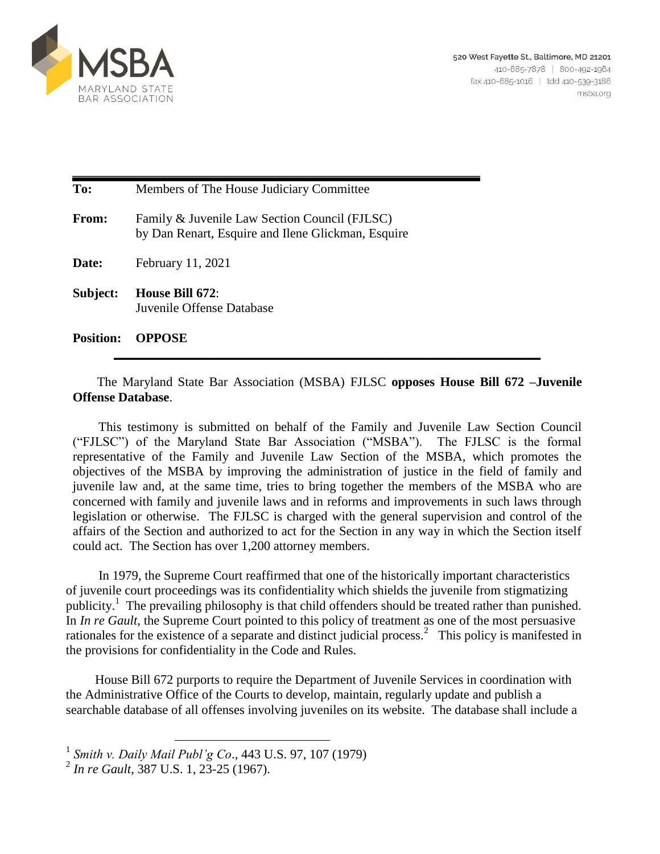

| To:              | Members of The House Judiciary Committee                                                            |
|------------------|-----------------------------------------------------------------------------------------------------|
| <b>From:</b>     | Family & Juvenile Law Section Council (FJLSC)<br>by Dan Renart, Esquire and Ilene Glickman, Esquire |
| Date:            | February 11, 2021                                                                                   |
| Subject:         | House Bill 672:<br>Juvenile Offense Database                                                        |
| <b>Position:</b> | <b>OPPOSE</b>                                                                                       |

The Maryland State Bar Association (MSBA) FJLSC **opposes House Bill 672 –Juvenile Offense Database**.

 This testimony is submitted on behalf of the Family and Juvenile Law Section Council ("FJLSC") of the Maryland State Bar Association ("MSBA"). The FJLSC is the formal representative of the Family and Juvenile Law Section of the MSBA, which promotes the objectives of the MSBA by improving the administration of justice in the field of family and juvenile law and, at the same time, tries to bring together the members of the MSBA who are concerned with family and juvenile laws and in reforms and improvements in such laws through legislation or otherwise. The FJLSC is charged with the general supervision and control of the affairs of the Section and authorized to act for the Section in any way in which the Section itself could act. The Section has over 1,200 attorney members.

 In 1979, the Supreme Court reaffirmed that one of the historically important characteristics of juvenile court proceedings was its confidentiality which shields the juvenile from stigmatizing publicity.<sup>1</sup> The prevailing philosophy is that child offenders should be treated rather than punished. In *In re Gault*, the Supreme Court pointed to this policy of treatment as one of the most persuasive rationales for the existence of a separate and distinct judicial process.<sup>2</sup> This policy is manifested in the provisions for confidentiality in the Code and Rules.

 House Bill 672 purports to require the Department of Juvenile Services in coordination with the Administrative Office of the Courts to develop, maintain, regularly update and publish a searchable database of all offenses involving juveniles on its website. The database shall include a

 1 *Smith v. Daily Mail Publ'g Co*., 443 U.S. 97, 107 (1979)

<sup>2</sup> *In re Gault*, 387 U.S. 1, 23-25 (1967).